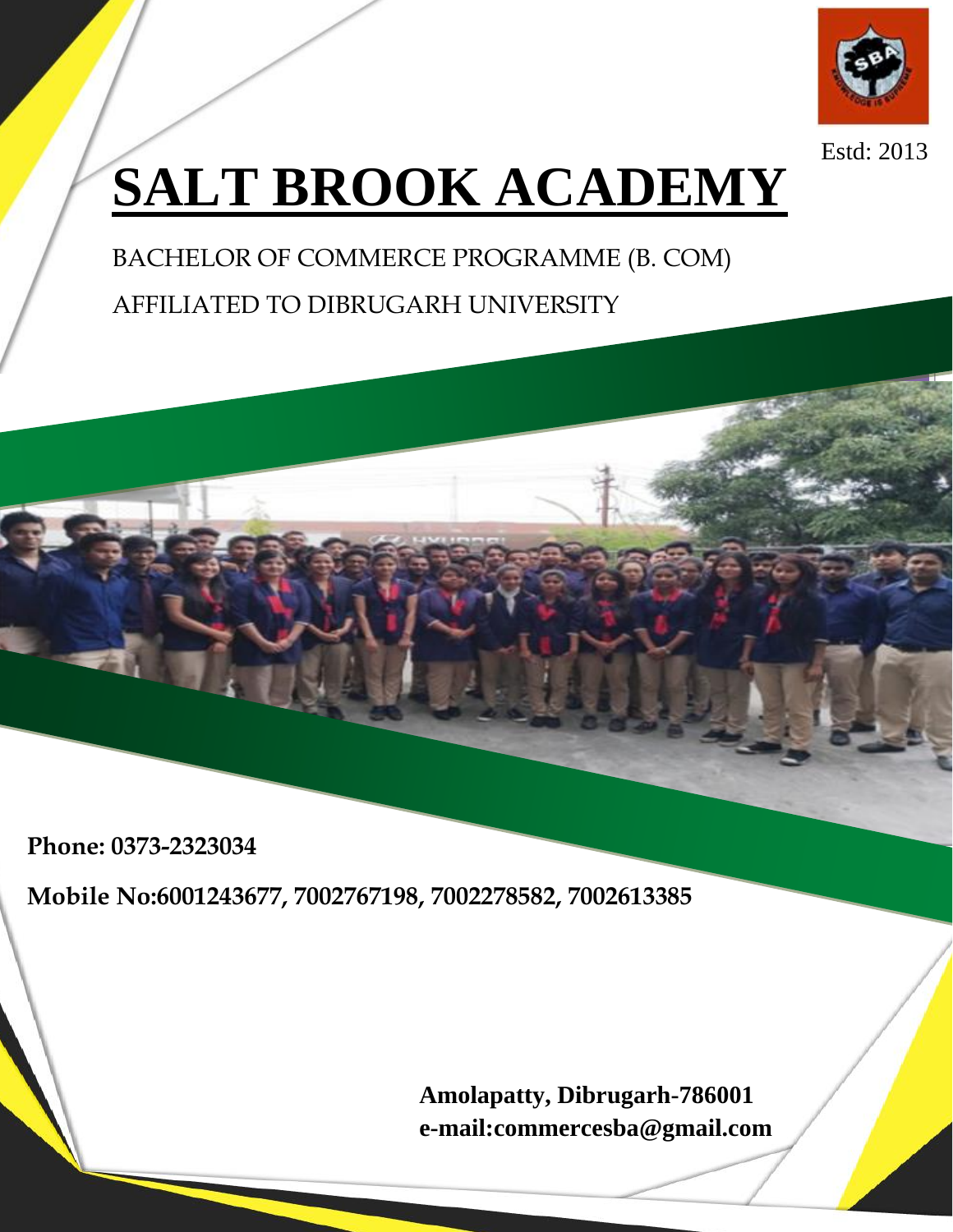

Estd: 2013

# **SALT BROOK ACADEMY**

BACHELOR OF COMMERCE PROGRAMME (B. COM) AFFILIATED TO DIBRUGARH UNIVERSITY

**Phone: 0373-2323034**

**Mobile No:6001243677, 7002767198, 7002278582, 7002613385**

**Amolapatty, Dibrugarh-786001 e-mail:commercesba@gmail.com**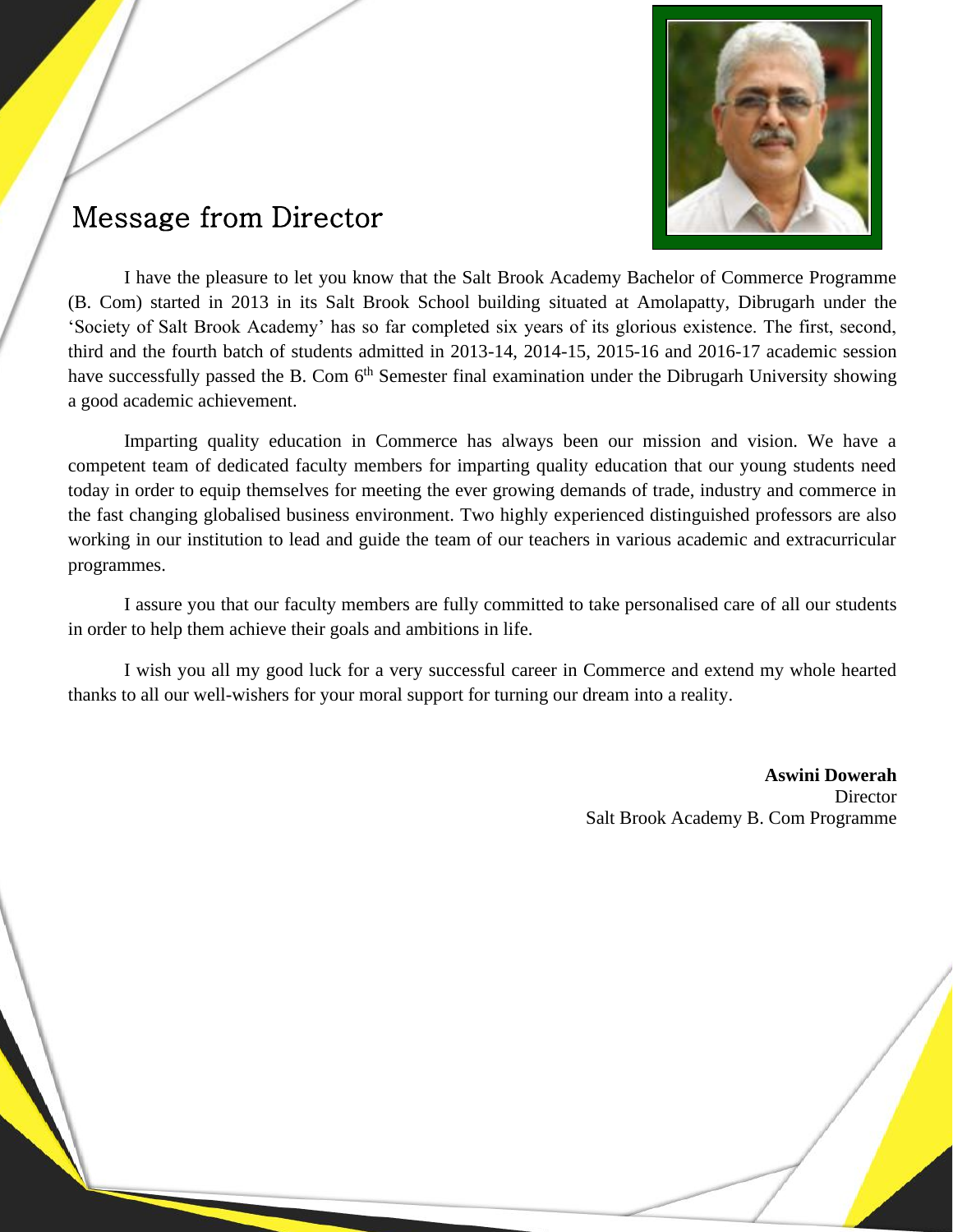

# Message from Director

I have the pleasure to let you know that the Salt Brook Academy Bachelor of Commerce Programme (B. Com) started in 2013 in its Salt Brook School building situated at Amolapatty, Dibrugarh under the 'Society of Salt Brook Academy' has so far completed six years of its glorious existence. The first, second, third and the fourth batch of students admitted in 2013-14, 2014-15, 2015-16 and 2016-17 academic session have successfully passed the B. Com 6<sup>th</sup> Semester final examination under the Dibrugarh University showing a good academic achievement.

Imparting quality education in Commerce has always been our mission and vision. We have a competent team of dedicated faculty members for imparting quality education that our young students need today in order to equip themselves for meeting the ever growing demands of trade, industry and commerce in the fast changing globalised business environment. Two highly experienced distinguished professors are also working in our institution to lead and guide the team of our teachers in various academic and extracurricular programmes.

I assure you that our faculty members are fully committed to take personalised care of all our students in order to help them achieve their goals and ambitions in life.

I wish you all my good luck for a very successful career in Commerce and extend my whole hearted thanks to all our well-wishers for your moral support for turning our dream into a reality.

> **Aswini Dowerah Director** Salt Brook Academy B. Com Programme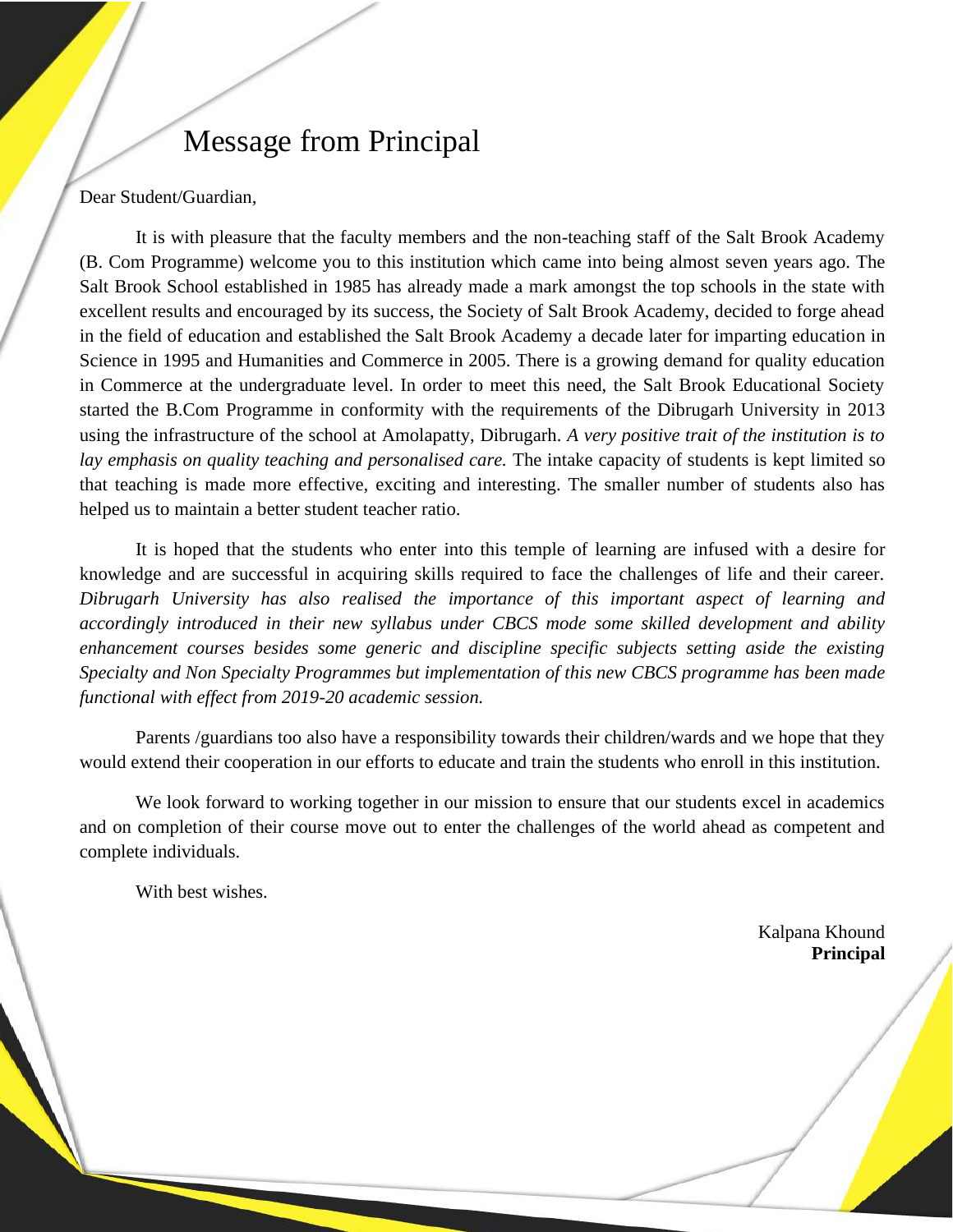# Message from Principal

Dear Student/Guardian,

It is with pleasure that the faculty members and the non-teaching staff of the Salt Brook Academy (B. Com Programme) welcome you to this institution which came into being almost seven years ago. The Salt Brook School established in 1985 has already made a mark amongst the top schools in the state with excellent results and encouraged by its success, the Society of Salt Brook Academy, decided to forge ahead in the field of education and established the Salt Brook Academy a decade later for imparting education in Science in 1995 and Humanities and Commerce in 2005. There is a growing demand for quality education in Commerce at the undergraduate level. In order to meet this need, the Salt Brook Educational Society started the B.Com Programme in conformity with the requirements of the Dibrugarh University in 2013 using the infrastructure of the school at Amolapatty, Dibrugarh. *A very positive trait of the institution is to lay emphasis on quality teaching and personalised care.* The intake capacity of students is kept limited so that teaching is made more effective, exciting and interesting. The smaller number of students also has helped us to maintain a better student teacher ratio.

It is hoped that the students who enter into this temple of learning are infused with a desire for knowledge and are successful in acquiring skills required to face the challenges of life and their career. *Dibrugarh University has also realised the importance of this important aspect of learning and accordingly introduced in their new syllabus under CBCS mode some skilled development and ability enhancement courses besides some generic and discipline specific subjects setting aside the existing Specialty and Non Specialty Programmes but implementation of this new CBCS programme has been made functional with effect from 2019-20 academic session.*

Parents /guardians too also have a responsibility towards their children/wards and we hope that they would extend their cooperation in our efforts to educate and train the students who enroll in this institution.

We look forward to working together in our mission to ensure that our students excel in academics and on completion of their course move out to enter the challenges of the world ahead as competent and complete individuals.

With best wishes.

Kalpana Khound **Principal**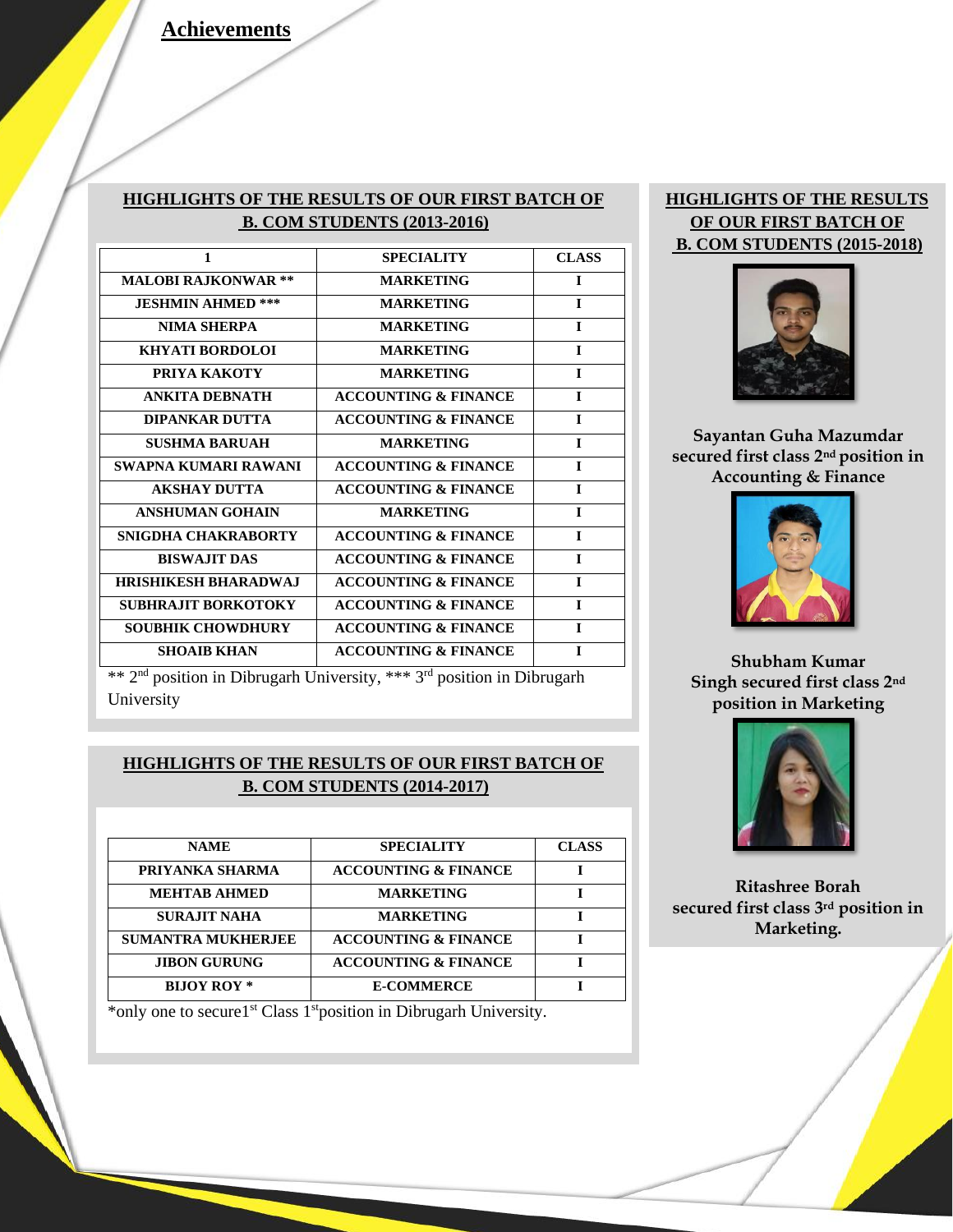#### **HIGHLIGHTS OF THE RESULTS OF OUR FIRST BATCH OF B. COM STUDENTS (2013-2016)**

| 1                           | <b>SPECIALITY</b>               | <b>CLASS</b> |
|-----------------------------|---------------------------------|--------------|
| <b>MALOBI RAJKONWAR **</b>  | <b>MARKETING</b>                | I            |
| <b>JESHMIN AHMED ***</b>    | <b>MARKETING</b>                | L            |
| NIMA SHERPA                 | <b>MARKETING</b>                | I            |
| KHYATI BORDOLOI             | <b>MARKETING</b>                | L            |
| PRIYA KAKOTY                | <b>MARKETING</b>                | L            |
| <b>ANKITA DEBNATH</b>       | <b>ACCOUNTING &amp; FINANCE</b> | T            |
| <b>DIPANKAR DUTTA</b>       | <b>ACCOUNTING &amp; FINANCE</b> | T            |
| <b>SUSHMA BARUAH</b>        | <b>MARKETING</b>                | $\mathbf{I}$ |
| SWAPNA KUMARI RAWANI        | <b>ACCOUNTING &amp; FINANCE</b> | T            |
| <b>AKSHAY DUTTA</b>         | <b>ACCOUNTING &amp; FINANCE</b> | T            |
| <b>ANSHUMAN GOHAIN</b>      | <b>MARKETING</b>                | T            |
| SNIGDHA CHAKRABORTY         | <b>ACCOUNTING &amp; FINANCE</b> | L            |
| <b>BISWAJIT DAS</b>         | <b>ACCOUNTING &amp; FINANCE</b> | L            |
| <b>HRISHIKESH BHARADWAJ</b> | <b>ACCOUNTING &amp; FINANCE</b> | L            |
| <b>SUBHRAJIT BORKOTOKY</b>  | <b>ACCOUNTING &amp; FINANCE</b> | L            |
| <b>SOUBHIK CHOWDHURY</b>    | <b>ACCOUNTING &amp; FINANCE</b> | L            |
| <b>SHOAIB KHAN</b>          | <b>ACCOUNTING &amp; FINANCE</b> | $\mathbf{I}$ |
|                             |                                 |              |

#### **HIGHLIGHTS OF THE RESULTS OF OUR FIRST BATCH OF B. COM STUDENTS (2015-2018)**



**Sayantan Guha Mazumdar secured first class 2nd position in Accounting & Finance**



**Shubham Kumar Singh secured first class 2nd position in Marketing**



**Ritashree Borah secured first class 3rd position in Marketing.**

\*\* 2nd position in Dibrugarh University, \*\*\* 3rd position in Dibrugarh University

#### **HIGHLIGHTS OF THE RESULTS OF OUR FIRST BATCH OF B. COM STUDENTS (2014-2017)**

| <b>NAME</b>               | <b>SPECIALITY</b>               | <b>CLASS</b> |
|---------------------------|---------------------------------|--------------|
| PRIYANKA SHARMA           | <b>ACCOUNTING &amp; FINANCE</b> |              |
| <b>MEHTAB AHMED</b>       | <b>MARKETING</b>                |              |
| <b>SURAJIT NAHA</b>       | <b>MARKETING</b>                |              |
| <b>SUMANTRA MUKHERJEE</b> | <b>ACCOUNTING &amp; FINANCE</b> |              |
| <b>JIBON GURUNG</b>       | <b>ACCOUNTING &amp; FINANCE</b> |              |
| <b>BIJOY ROY</b> *        | <b>E-COMMERCE</b>               |              |

\*only one to secure1st Class 1stposition in Dibrugarh University.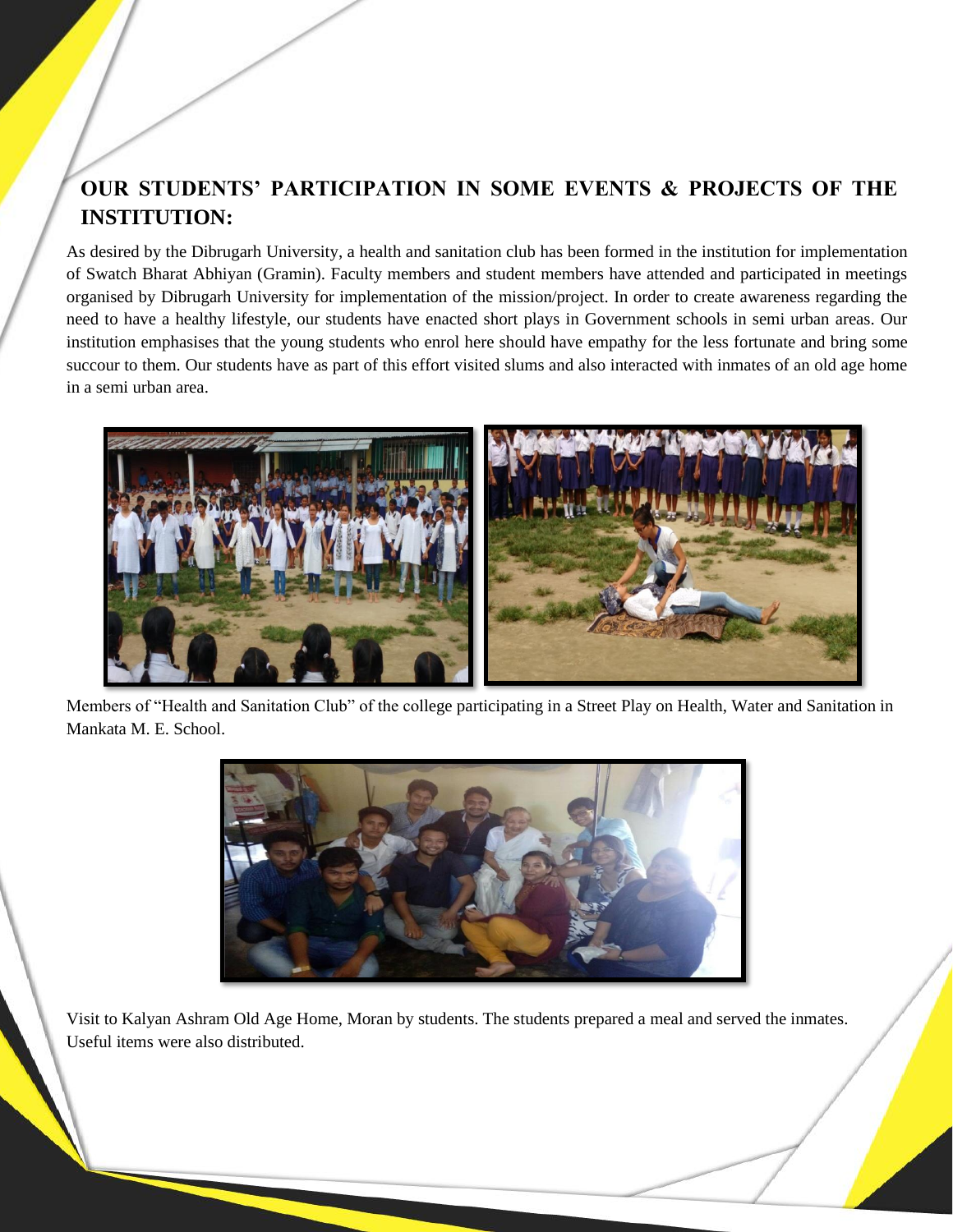## **OUR STUDENTS' PARTICIPATION IN SOME EVENTS & PROJECTS OF THE INSTITUTION:**

As desired by the Dibrugarh University, a health and sanitation club has been formed in the institution for implementation of Swatch Bharat Abhiyan (Gramin). Faculty members and student members have attended and participated in meetings organised by Dibrugarh University for implementation of the mission/project. In order to create awareness regarding the need to have a healthy lifestyle, our students have enacted short plays in Government schools in semi urban areas. Our institution emphasises that the young students who enrol here should have empathy for the less fortunate and bring some succour to them. Our students have as part of this effort visited slums and also interacted with inmates of an old age home in a semi urban area.



Members of "Health and Sanitation Club" of the college participating in a Street Play on Health, Water and Sanitation in Mankata M. E. School.



Visit to Kalyan Ashram Old Age Home, Moran by students. The students prepared a meal and served the inmates. Useful items were also distributed.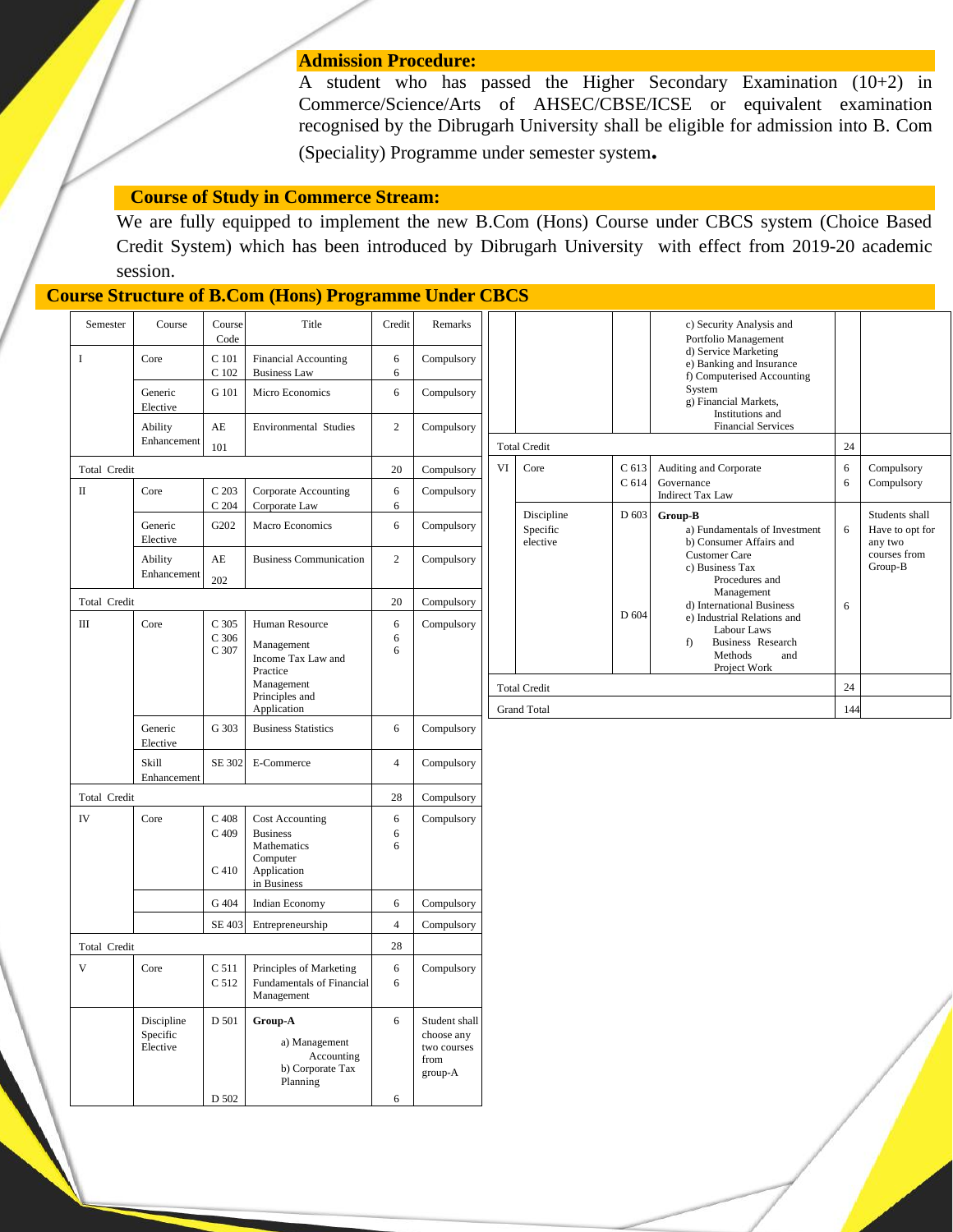#### **Admission Procedure:**

A student who has passed the Higher Secondary Examination (10+2) in Commerce/Science/Arts of AHSEC/CBSE/ICSE or equivalent examination recognised by the Dibrugarh University shall be eligible for admission into B. Com (Speciality) Programme under semester system**.**

#### **Course of Study in Commerce Stream:**

We are fully equipped to implement the new B.Com (Hons) Course under CBCS system (Choice Based Credit System) which has been introduced by Dibrugarh University with effect from 2019-20 academic session.

#### **Course Structure of B.Com (Hons) Programme Under CBCS**

| Semester     | Course                             | Course<br>Code          | Title                                                                  | Credit          | Remarks                                                       |                     |                                                                           |       | c) Security Analysis and<br>Portfolio Management<br>d) Service Marketing<br>e) Banking and Insurance<br>f) Computerised Accounting |        |                                              |
|--------------|------------------------------------|-------------------------|------------------------------------------------------------------------|-----------------|---------------------------------------------------------------|---------------------|---------------------------------------------------------------------------|-------|------------------------------------------------------------------------------------------------------------------------------------|--------|----------------------------------------------|
| I            | Core                               | C 101<br>C 102          | <b>Financial Accounting</b><br><b>Business Law</b>                     | 6<br>6          | Compulsory                                                    |                     |                                                                           |       |                                                                                                                                    |        |                                              |
|              | Generic<br>Elective                | G 101                   | Micro Economics                                                        | 6               | Compulsory                                                    |                     |                                                                           |       | System<br>g) Financial Markets,                                                                                                    |        |                                              |
|              | Ability<br>Enhancement             | $\mathbf{A}\mathbf{E}$  | Environmental Studies                                                  | $\overline{c}$  | Compulsory                                                    |                     |                                                                           |       | Institutions and<br><b>Financial Services</b>                                                                                      |        |                                              |
|              |                                    | 101                     |                                                                        |                 |                                                               | <b>Total Credit</b> |                                                                           |       | 24                                                                                                                                 |        |                                              |
| Total Credit |                                    |                         |                                                                        | 20              | Compulsory                                                    | VI                  | Core<br>C <sub>613</sub><br>Auditing and Corporate<br>C 614<br>Governance |       |                                                                                                                                    | 6<br>6 | Compulsory<br>Compulsory                     |
| $\mathbf{I}$ | Core                               | C 203<br>$C$ 204        | Corporate Accounting<br>Corporate Law                                  | 6<br>6          | Compulsory                                                    |                     | Discipline<br>Specific<br>elective                                        | D 603 | <b>Indirect Tax Law</b>                                                                                                            |        |                                              |
|              | Generic<br>Elective                | G202                    | Macro Economics                                                        | 6               | Compulsory                                                    |                     |                                                                           |       | Group-B<br>a) Fundamentals of Investment<br>b) Consumer Affairs and<br><b>Customer Care</b><br>c) Business Tax<br>Procedures and   | 6      | Students shall<br>Have to opt for<br>any two |
|              | Ability<br>Enhancement             | AE<br>202               | <b>Business Communication</b>                                          | $\mathbf{2}$    | Compulsory                                                    |                     |                                                                           |       |                                                                                                                                    |        | courses from<br>Group-B                      |
| Total Credit |                                    |                         |                                                                        | 20              | Compulsory                                                    |                     |                                                                           |       | Management<br>d) International Business                                                                                            | 6      |                                              |
| Ш            | Core                               | C 305<br>C 306<br>C 307 | Human Resource<br>Management<br>Income Tax Law and                     | 6<br>6<br>6     | Compulsory                                                    |                     |                                                                           | D 604 | e) Industrial Relations and<br>Labour Laws<br>Business Research<br>f)<br>Methods<br>and                                            |        |                                              |
|              |                                    |                         | Practice                                                               |                 |                                                               |                     |                                                                           |       | Project Work                                                                                                                       |        |                                              |
|              |                                    |                         | Management<br>Principles and<br>Application                            |                 |                                                               | <b>Total Credit</b> |                                                                           |       |                                                                                                                                    | 24     |                                              |
|              |                                    |                         |                                                                        |                 |                                                               | <b>Grand Total</b>  |                                                                           |       |                                                                                                                                    | 144    |                                              |
|              | Generic<br>Elective                | G 303                   | <b>Business Statistics</b>                                             | 6               | Compulsory                                                    |                     |                                                                           |       |                                                                                                                                    |        |                                              |
|              | Skill<br>Enhancement               | SE 302                  | E-Commerce                                                             | $\overline{4}$  | Compulsory                                                    |                     |                                                                           |       |                                                                                                                                    |        |                                              |
| Total Credit |                                    | 28                      | Compulsory                                                             |                 |                                                               |                     |                                                                           |       |                                                                                                                                    |        |                                              |
| IV           | Core                               | $C$ 408<br>$C$ 409      | <b>Cost Accounting</b><br><b>Business</b><br>Mathematics               | 6<br>6<br>6     | Compulsory                                                    |                     |                                                                           |       |                                                                                                                                    |        |                                              |
|              |                                    | C <sub>410</sub>        | Computer<br>Application<br>in Business                                 |                 |                                                               |                     |                                                                           |       |                                                                                                                                    |        |                                              |
|              |                                    | G 404                   | Indian Economy                                                         | 6               | Compulsory                                                    |                     |                                                                           |       |                                                                                                                                    |        |                                              |
|              |                                    | <b>SE 403</b>           | Entrepreneurship                                                       | $\overline{4}$  | Compulsory                                                    |                     |                                                                           |       |                                                                                                                                    |        |                                              |
| Total Credit |                                    |                         | 28                                                                     |                 |                                                               |                     |                                                                           |       |                                                                                                                                    |        |                                              |
| $\mathbf{V}$ | Core                               | C 511<br>C 512          | Principles of Marketing<br>Fundamentals of Financial<br>Management     | $\sqrt{6}$<br>6 | Compulsory                                                    |                     |                                                                           |       |                                                                                                                                    |        |                                              |
|              | Discipline<br>Specific<br>Elective | D 501<br>D 502          | Group-A<br>a) Management<br>Accounting<br>b) Corporate Tax<br>Planning | 6<br>6          | Student shall<br>choose any<br>two courses<br>from<br>group-A |                     |                                                                           |       |                                                                                                                                    |        |                                              |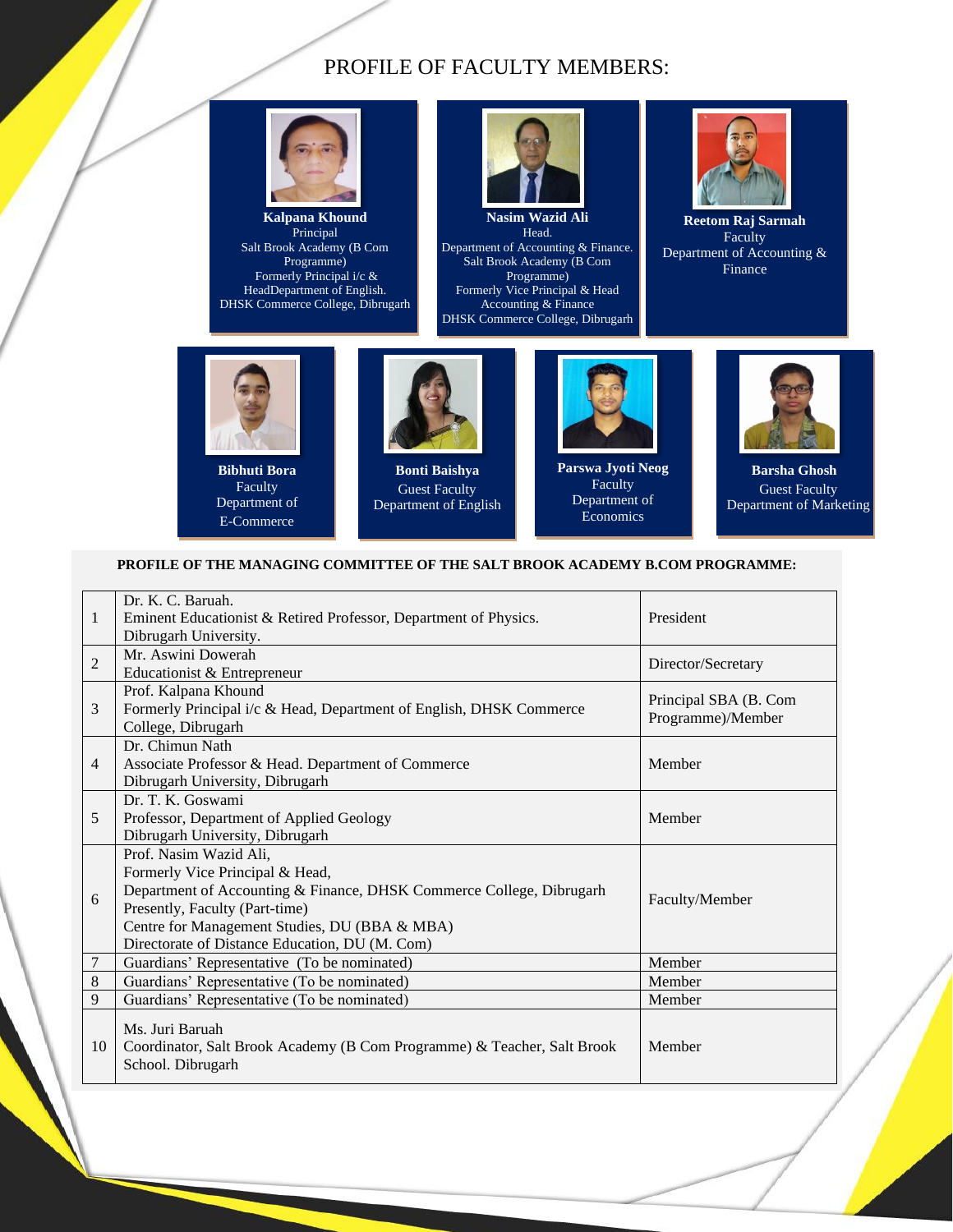### PROFILE OF FACULTY MEMBERS:



**Kalpana Khound** Principal Salt Brook Academy (B Com Programme) Formerly Principal i/c & HeadDepartment of English. DHSK Commerce College, Dibrugarh



Department of Accounting & Finance. Salt Brook Academy (B Com Programme) Formerly Vice Principal & Head Accounting & Finance DHSK Commerce College, Dibrugarh



**Reetom Raj Sarmah** Faculty Department of Accounting & Finance



**Bibhuti Bora** Faculty Department of E-Commerce



**Bonti Baishya** Guest Faculty Department of English



**Parswa Jyoti Neog** Faculty Department of Economics



**Barsha Ghosh** Guest Faculty Department of Marketing

#### **PROFILE OF THE MANAGING COMMITTEE OF THE SALT BROOK ACADEMY B.COM PROGRAMME:**

| $\mathbf{1}$   | Dr. K. C. Baruah.<br>Eminent Educationist & Retired Professor, Department of Physics.<br>Dibrugarh University.                                                                                                                                                         | President                                  |
|----------------|------------------------------------------------------------------------------------------------------------------------------------------------------------------------------------------------------------------------------------------------------------------------|--------------------------------------------|
| $\overline{2}$ | Mr. Aswini Dowerah<br>Educationist & Entrepreneur                                                                                                                                                                                                                      | Director/Secretary                         |
| 3              | Prof. Kalpana Khound<br>Formerly Principal i/c & Head, Department of English, DHSK Commerce<br>College, Dibrugarh                                                                                                                                                      | Principal SBA (B. Com<br>Programme)/Member |
| 4              | Dr. Chimun Nath<br>Associate Professor & Head. Department of Commerce<br>Dibrugarh University, Dibrugarh                                                                                                                                                               | Member                                     |
| 5              | Dr. T. K. Goswami<br>Professor, Department of Applied Geology<br>Dibrugarh University, Dibrugarh                                                                                                                                                                       | Member                                     |
| 6              | Prof. Nasim Wazid Ali,<br>Formerly Vice Principal & Head,<br>Department of Accounting & Finance, DHSK Commerce College, Dibrugarh<br>Presently, Faculty (Part-time)<br>Centre for Management Studies, DU (BBA & MBA)<br>Directorate of Distance Education, DU (M. Com) | Faculty/Member                             |
| 7              | Guardians' Representative (To be nominated)                                                                                                                                                                                                                            | Member                                     |
| $\,$ 8 $\,$    | Guardians' Representative (To be nominated)                                                                                                                                                                                                                            | Member                                     |
| 9              | Guardians' Representative (To be nominated)                                                                                                                                                                                                                            | Member                                     |
| 10             | Ms. Juri Baruah<br>Coordinator, Salt Brook Academy (B Com Programme) & Teacher, Salt Brook<br>School. Dibrugarh                                                                                                                                                        | Member                                     |